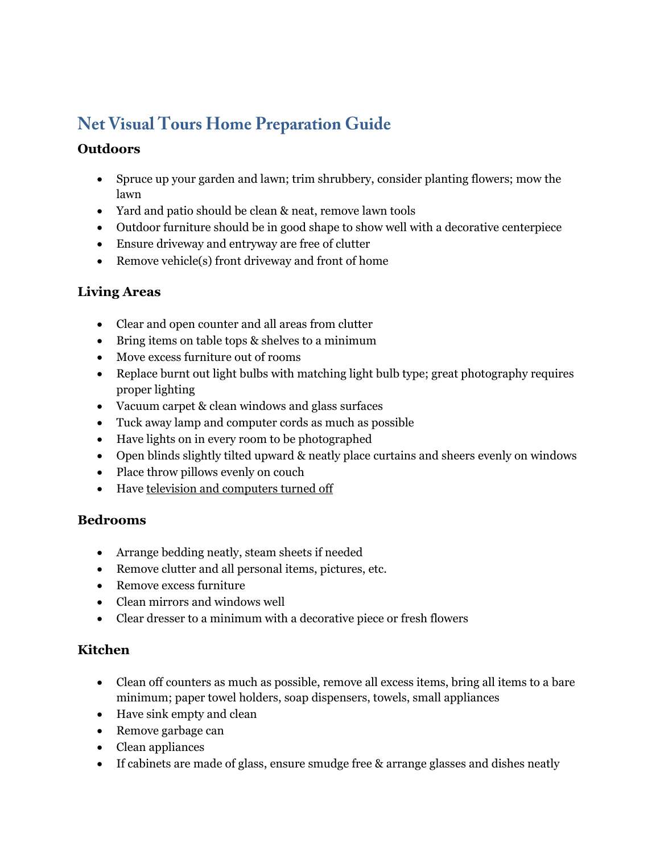# **Net Visual Tours Home Preparation Guide**

### **Outdoors**

- Spruce up your garden and lawn; trim shrubbery, consider planting flowers; mow the lawn
- Yard and patio should be clean & neat, remove lawn tools
- Outdoor furniture should be in good shape to show well with a decorative centerpiece
- Ensure driveway and entryway are free of clutter
- Remove vehicle(s) front driveway and front of home

# **Living Areas**

- Clear and open counter and all areas from clutter
- Bring items on table tops & shelves to a minimum
- Move excess furniture out of rooms
- Replace burnt out light bulbs with matching light bulb type; great photography requires proper lighting
- Vacuum carpet & clean windows and glass surfaces
- Tuck away lamp and computer cords as much as possible
- Have lights on in every room to be photographed
- Open blinds slightly tilted upward & neatly place curtains and sheers evenly on windows
- Place throw pillows evenly on couch
- Have television and computers turned off

#### **Bedrooms**

- Arrange bedding neatly, steam sheets if needed
- Remove clutter and all personal items, pictures, etc.
- Remove excess furniture
- Clean mirrors and windows well
- Clear dresser to a minimum with a decorative piece or fresh flowers

# **Kitchen**

- Clean off counters as much as possible, remove all excess items, bring all items to a bare minimum; paper towel holders, soap dispensers, towels, small appliances
- Have sink empty and clean
- Remove garbage can
- Clean appliances
- If cabinets are made of glass, ensure smudge free & arrange glasses and dishes neatly